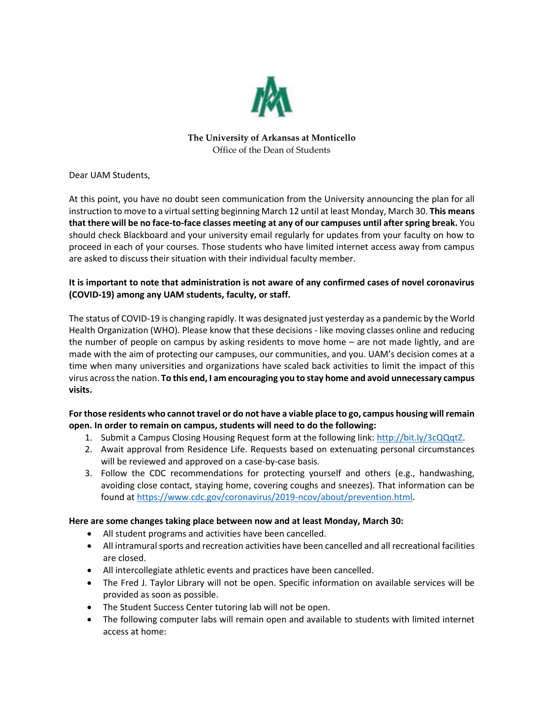

### **The University of Arkansas at Monticello** Office of the Dean of Students

Dear UAM Students,

At this point, you have no doubt seen communication from the University announcing the plan for all instruction to move to a virtual setting beginning March 12 until at least Monday, March 30. **This means that there will be no face-to-face classes meeting at any of our campuses until after spring break.** You should check Blackboard and your university email regularly for updates from your faculty on how to proceed in each of your courses. Those students who have limited internet access away from campus are asked to discuss their situation with their individual faculty member.

# **It is important to note that administration is not aware of any confirmed cases of novel coronavirus (COVID-19) among any UAM students, faculty, or staff.**

The status of COVID-19 is changing rapidly. It was designated just yesterday as a pandemic by the World Health Organization (WHO). Please know that these decisions - like moving classes online and reducing the number of people on campus by asking residents to move home – are not made lightly, and are made with the aim of protecting our campuses, our communities, and you. UAM's decision comes at a time when many universities and organizations have scaled back activities to limit the impact of this virus across the nation. **To this end, I am encouraging you to stay home and avoid unnecessary campus visits.** 

# **For those residents who cannot travel or do not have a viable place to go, campus housing will remain open. In order to remain on campus, students will need to do the following:**

- 1. Submit a Campus Closing Housing Request form at the following link: [http://bit.ly/3cQQqtZ.](http://bit.ly/3cQQqtZ)
- 2. Await approval from Residence Life. Requests based on extenuating personal circumstances will be reviewed and approved on a case-by-case basis.
- 3. Follow the CDC recommendations for protecting yourself and others (e.g., handwashing, avoiding close contact, staying home, covering coughs and sneezes). That information can be found at [https://www.cdc.gov/coronavirus/2019-ncov/about/prevention.html.](https://www.cdc.gov/coronavirus/2019-ncov/about/prevention.html)

# **Here are some changes taking place between now and at least Monday, March 30:**

- All student programs and activities have been cancelled.
- All intramural sports and recreation activities have been cancelled and all recreational facilities are closed.
- All intercollegiate athletic events and practices have been cancelled.
- The Fred J. Taylor Library will not be open. Specific information on available services will be provided as soon as possible.
- The Student Success Center tutoring lab will not be open.
- The following computer labs will remain open and available to students with limited internet access at home: